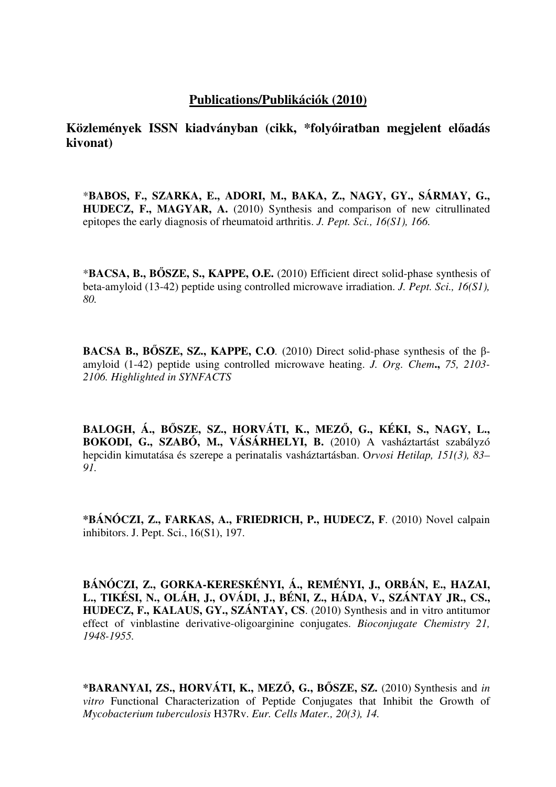## **Publications/Publikációk (2010)**

**Közlemények ISSN kiadványban (cikk, \*folyóiratban megjelent el**ő**adás kivonat)**

\***BABOS, F., SZARKA, E., ADORI, M., BAKA, Z., NAGY, GY., SÁRMAY, G., HUDECZ, F., MAGYAR, A.** (2010) Synthesis and comparison of new citrullinated epitopes the early diagnosis of rheumatoid arthritis. *J. Pept. Sci., 16(S1), 166.*

\***BACSA, B., B**Ő**SZE, S., KAPPE, O.E.** (2010) Efficient direct solid-phase synthesis of beta-amyloid (13-42) peptide using controlled microwave irradiation. *J. Pept. Sci., 16(S1), 80.*

**BACSA B., B**Ő**SZE, SZ., KAPPE, C.O***.* (2010) Direct solid-phase synthesis of the βamyloid (1-42) peptide using controlled microwave heating. *J. Org. Chem***.,** *75, 2103- 2106. Highlighted in SYNFACTS*

**BALOGH, Á., B**Ő**SZE, SZ., HORVÁTI, K., MEZ**Ő**, G., KÉKI, S., NAGY, L.,**  BOKODI, G., SZABÓ, M., VÁSÁRHELYI, B. (2010) A vasháztartást szabályzó hepcidin kimutatása és szerepe a perinatalis vasháztartásban. O*rvosi Hetilap, 151(3), 83– 91.*

**\*BÁNÓCZI, Z., FARKAS, A., FRIEDRICH, P., HUDECZ, F**. (2010) Novel calpain inhibitors. J. Pept. Sci., 16(S1), 197.

**BÁNÓCZI, Z., GORKA-KERESKÉNYI, Á., REMÉNYI, J., ORBÁN, E., HAZAI, L., TIKÉSI, N., OLÁH, J., OVÁDI, J., BÉNI, Z., HÁDA, V., SZÁNTAY JR., CS., HUDECZ, F., KALAUS, GY., SZÁNTAY, CS**. (2010) Synthesis and in vitro antitumor effect of vinblastine derivative-oligoarginine conjugates. *Bioconjugate Chemistry 21, 1948-1955.*

**\*BARANYAI, ZS., HORVÁTI, K., MEZ**Ő**, G., B**Ő**SZE, SZ.** (2010) Synthesis and *in vitro* Functional Characterization of Peptide Conjugates that Inhibit the Growth of *Mycobacterium tuberculosis* H37Rv. *Eur. Cells Mater., 20(3), 14.*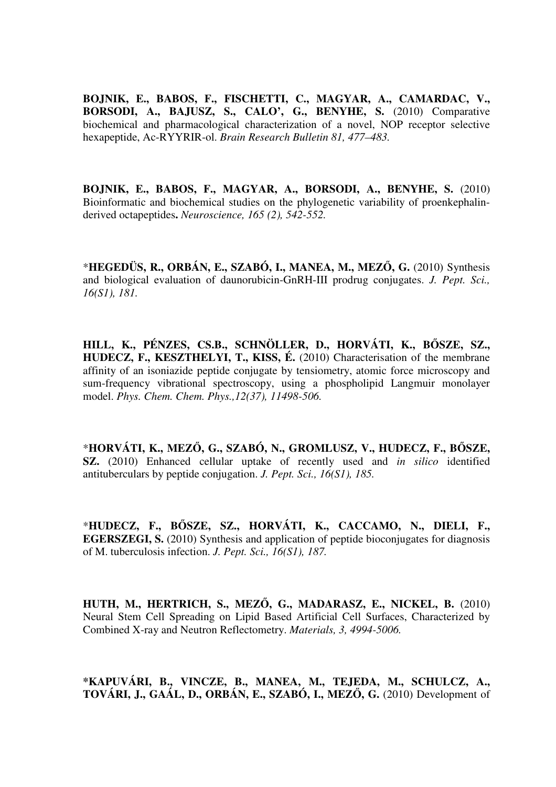**BOJNIK, E., BABOS, F., FISCHETTI, C., MAGYAR, A., CAMARDAC, V., BORSODI, A., BAJUSZ, S., CALO', G., BENYHE, S.** (2010) Comparative biochemical and pharmacological characterization of a novel, NOP receptor selective hexapeptide, Ac-RYYRIR-ol. *Brain Research Bulletin 81, 477–483.*

**BOJNIK, E., BABOS, F., MAGYAR, A., BORSODI, A., BENYHE, S.** (2010) Bioinformatic and biochemical studies on the phylogenetic variability of proenkephalinderived octapeptides**.** *Neuroscience, 165 (2), 542-552.*

\***HEGEDÜS, R., ORBÁN, E., SZABÓ, I., MANEA, M., MEZ**Ő**, G.** (2010) Synthesis and biological evaluation of daunorubicin-GnRH-III prodrug conjugates. *J. Pept. Sci., 16(S1), 181.* 

**HILL, K., PÉNZES, CS.B., SCHNÖLLER, D., HORVÁTI, K., B**Ő**SZE, SZ., HUDECZ, F., KESZTHELYI, T., KISS, É.** (2010) Characterisation of the membrane affinity of an isoniazide peptide conjugate by tensiometry, atomic force microscopy and sum-frequency vibrational spectroscopy, using a phospholipid Langmuir monolayer model. *Phys. Chem. Chem. Phys.,12(37), 11498-506.*

\***HORVÁTI, K., MEZ**Ő**, G., SZABÓ, N., GROMLUSZ, V., HUDECZ, F., B**Ő**SZE, SZ.** (2010) Enhanced cellular uptake of recently used and *in silico* identified antituberculars by peptide conjugation. *J. Pept. Sci., 16(S1), 185.*

\***HUDECZ, F., B**Ő**SZE, SZ., HORVÁTI, K., CACCAMO, N., DIELI, F., EGERSZEGI, S.** (2010) Synthesis and application of peptide bioconjugates for diagnosis of M. tuberculosis infection. *J. Pept. Sci., 16(S1), 187.*

**HUTH, M., HERTRICH, S., MEZ**Ő**, G., MADARASZ, E., NICKEL, B.** (2010) Neural Stem Cell Spreading on Lipid Based Artificial Cell Surfaces, Characterized by Combined X-ray and Neutron Reflectometry. *Materials, 3, 4994-5006.*

**\*KAPUVÁRI, B., VINCZE, B., MANEA, M., TEJEDA, M., SCHULCZ, A., TOVÁRI, J., GAÁL, D., ORBÁN, E., SZABÓ, I., MEZ**Ő**, G.** (2010) Development of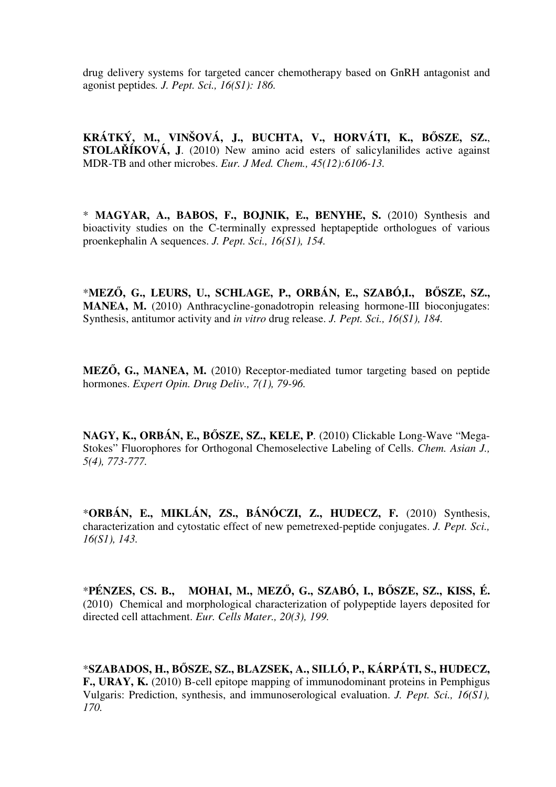drug delivery systems for targeted cancer chemotherapy based on GnRH antagonist and agonist peptides*. J. Pept. Sci., 16(S1): 186.* 

**KRÁTKÝ, M., VINŠOVÁ, J., BUCHTA, V., HORVÁTI, K., B**Ő**SZE, SZ.**, **STOLA**Ř**ÍKOVÁ, J**. (2010) New amino acid esters of salicylanilides active against MDR-TB and other microbes. *Eur. J Med. Chem., 45(12):6106-13.*

\* **MAGYAR, A., BABOS, F., BOJNIK, E., BENYHE, S.** (2010) Synthesis and bioactivity studies on the C-terminally expressed heptapeptide orthologues of various proenkephalin A sequences. *J. Pept. Sci., 16(S1), 154.* 

\***MEZ**Ő**, G., LEURS, U., SCHLAGE, P., ORBÁN, E., SZABÓ,I., B**Ő**SZE, SZ., MANEA, M.** (2010) Anthracycline-gonadotropin releasing hormone-III bioconjugates: Synthesis, antitumor activity and *in vitro* drug release. *J. Pept. Sci., 16(S1), 184.*

**MEZ**Ő**, G., MANEA, M.** (2010) Receptor-mediated tumor targeting based on peptide hormones. *Expert Opin. Drug Deliv., 7(1), 79-96.*

**NAGY, K., ORBÁN, E., B**Ő**SZE, SZ., KELE, P**. (2010) Clickable Long-Wave "Mega-Stokes" Fluorophores for Orthogonal Chemoselective Labeling of Cells. *Chem. Asian J., 5(4), 773-777.*

\***ORBÁN, E., MIKLÁN, ZS., BÁNÓCZI, Z., HUDECZ, F.** (2010) Synthesis, characterization and cytostatic effect of new pemetrexed-peptide conjugates. *J. Pept. Sci., 16(S1), 143.* 

\***PÉNZES, CS. B., MOHAI, M., MEZ**Ő**, G., SZABÓ, I., B**Ő**SZE, SZ., KISS, É.** (2010) Chemical and morphological characterization of polypeptide layers deposited for directed cell attachment. *Eur. Cells Mater., 20(3), 199.*

\***SZABADOS, H., B**Ő**SZE, SZ., BLAZSEK, A., SILLÓ, P., KÁRPÁTI, S., HUDECZ, F., URAY, K.** (2010) B-cell epitope mapping of immunodominant proteins in Pemphigus Vulgaris: Prediction, synthesis, and immunoserological evaluation. *J. Pept. Sci., 16(S1), 170.*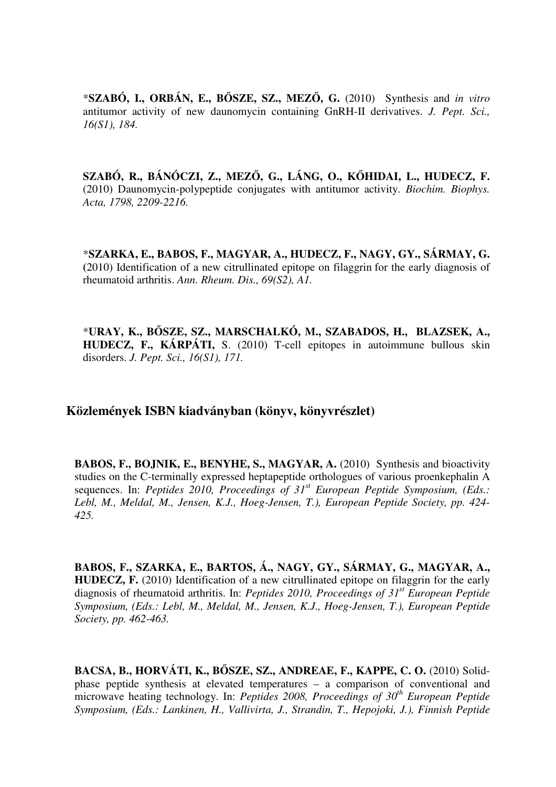\***SZABÓ, I., ORBÁN, E., B**Ő**SZE, SZ., MEZ**Ő**, G.** (2010) Synthesis and *in vitro* antitumor activity of new daunomycin containing GnRH-II derivatives. *J. Pept. Sci., 16(S1), 184.* 

**SZABÓ, R., BÁNÓCZI, Z., MEZ**Ő**, G., LÁNG, O., K**Ő**HIDAI, L., HUDECZ, F.**  (2010) Daunomycin-polypeptide conjugates with antitumor activity. *Biochim. Biophys. Acta, 1798, 2209-2216.*

\***SZARKA, E., BABOS, F., MAGYAR, A., HUDECZ, F., NAGY, GY., SÁRMAY, G. (**2010) Identification of a new citrullinated epitope on filaggrin for the early diagnosis of rheumatoid arthritis. *Ann. Rheum. Dis., 69(S2), A1.*

\***URAY, K., B**Ő**SZE, SZ., MARSCHALKÓ, M., SZABADOS, H., BLAZSEK, A., HUDECZ, F., KÁRPÁTI,** S. (2010) T-cell epitopes in autoimmune bullous skin disorders. *J. Pept. Sci., 16(S1), 171.* 

## **Közlemények ISBN kiadványban (könyv, könyvrészlet)**

**BABOS, F., BOJNIK, E., BENYHE, S., MAGYAR, A.** (2010) Synthesis and bioactivity studies on the C-terminally expressed heptapeptide orthologues of various proenkephalin A sequences. In: *Peptides 2010, Proceedings of 31st European Peptide Symposium, (Eds.: Lebl, M., Meldal, M., Jensen, K.J., Hoeg-Jensen, T.), European Peptide Society, pp. 424- 425.*

**BABOS, F., SZARKA, E., BARTOS, Á., NAGY, GY., SÁRMAY, G., MAGYAR, A., HUDECZ, F.** (2010) Identification of a new citrullinated epitope on filaggrin for the early diagnosis of rheumatoid arthritis. In: *Peptides 2010, Proceedings of 31st European Peptide Symposium, (Eds.: Lebl, M., Meldal, M., Jensen, K.J., Hoeg-Jensen, T.), European Peptide Society, pp. 462-463.*

**BACSA, B., HORVÁTI, K., B**Ő**SZE, SZ., ANDREAE, F., KAPPE, C. O.** (2010) Solidphase peptide synthesis at elevated temperatures – a comparison of conventional and microwave heating technology. In: *Peptides 2008, Proceedings of 30th European Peptide Symposium, (Eds.: Lankinen, H., Vallivirta, J., Strandin, T., Hepojoki, J.), Finnish Peptide*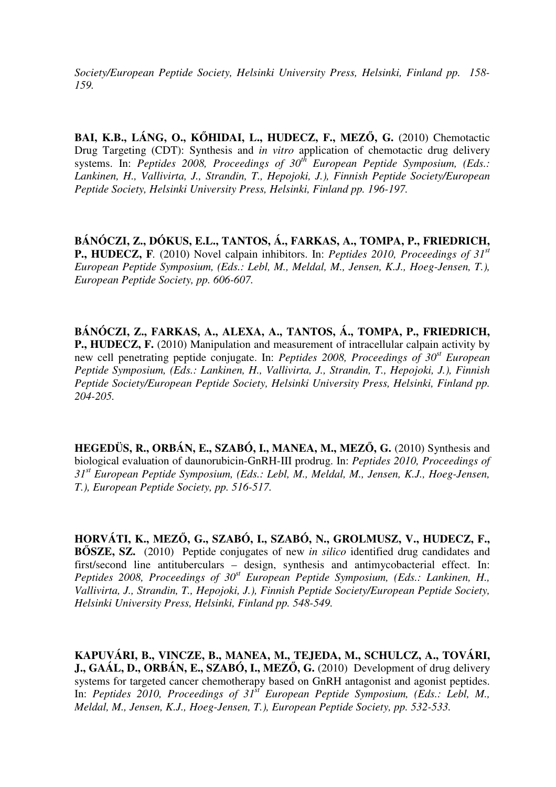*Society/European Peptide Society, Helsinki University Press, Helsinki, Finland pp. 158- 159.*

**BAI, K.B., LÁNG, O., K**Ő**HIDAI, L., HUDECZ, F., MEZ**Ő**, G.** (2010) Chemotactic Drug Targeting (CDT): Synthesis and *in vitro* application of chemotactic drug delivery systems. In: *Peptides 2008, Proceedings of 30th European Peptide Symposium, (Eds.: Lankinen, H., Vallivirta, J., Strandin, T., Hepojoki, J.), Finnish Peptide Society/European Peptide Society, Helsinki University Press, Helsinki, Finland pp. 196-197.*

**BÁNÓCZI, Z., DÓKUS, E.L., TANTOS, Á., FARKAS, A., TOMPA, P., FRIEDRICH, P., HUDECZ, F***.* (2010) Novel calpain inhibitors. In: *Peptides 2010, Proceedings of 31st European Peptide Symposium, (Eds.: Lebl, M., Meldal, M., Jensen, K.J., Hoeg-Jensen, T.), European Peptide Society, pp. 606-607.*

**BÁNÓCZI, Z., FARKAS, A., ALEXA, A., TANTOS, Á., TOMPA, P., FRIEDRICH, P., HUDECZ, F.** (2010) Manipulation and measurement of intracellular calpain activity by new cell penetrating peptide conjugate. In: *Peptides 2008, Proceedings of 30st European Peptide Symposium, (Eds.: Lankinen, H., Vallivirta, J., Strandin, T., Hepojoki, J.), Finnish Peptide Society/European Peptide Society, Helsinki University Press, Helsinki, Finland pp. 204-205.* 

**HEGEDÜS, R., ORBÁN, E., SZABÓ, I., MANEA, M., MEZ**Ő**, G.** (2010) Synthesis and biological evaluation of daunorubicin-GnRH-III prodrug. In: *Peptides 2010, Proceedings of 31st European Peptide Symposium, (Eds.: Lebl, M., Meldal, M., Jensen, K.J., Hoeg-Jensen, T.), European Peptide Society, pp. 516-517.*

**HORVÁTI, K., MEZ**Ő**, G., SZABÓ, I., SZABÓ, N., GROLMUSZ, V., HUDECZ, F., B**Ő**SZE, SZ.** (2010) Peptide conjugates of new *in silico* identified drug candidates and first/second line antituberculars – design, synthesis and antimycobacterial effect. In: *Peptides 2008, Proceedings of 30st European Peptide Symposium, (Eds.: Lankinen, H., Vallivirta, J., Strandin, T., Hepojoki, J.), Finnish Peptide Society/European Peptide Society, Helsinki University Press, Helsinki, Finland pp. 548-549.*

**KAPUVÁRI, B., VINCZE, B., MANEA, M., TEJEDA, M., SCHULCZ, A., TOVÁRI, J., GAÁL, D., ORBÁN, E., SZABÓ, I., MEZŐ, G.** (2010) Development of drug delivery systems for targeted cancer chemotherapy based on GnRH antagonist and agonist peptides. In: *Peptides 2010, Proceedings of 31<sup>st</sup> European Peptide Symposium, (Eds.: Lebl, M., Meldal, M., Jensen, K.J., Hoeg-Jensen, T.), European Peptide Society, pp. 532-533.*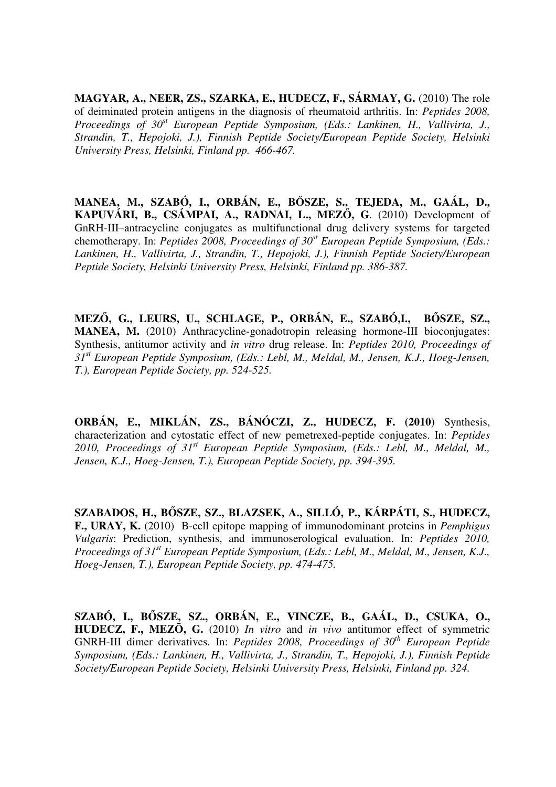**MAGYAR, A., NEER, ZS., SZARKA, E., HUDECZ, F., SÁRMAY, G.** (2010) The role of deiminated protein antigens in the diagnosis of rheumatoid arthritis. In: *Peptides 2008, Proceedings of 30st European Peptide Symposium, (Eds.: Lankinen, H., Vallivirta, J., Strandin, T., Hepojoki, J.), Finnish Peptide Society/European Peptide Society, Helsinki University Press, Helsinki, Finland pp. 466-467.*

**MANEA, M., SZABÓ, I., ORBÁN, E., B**Ő**SZE, S., TEJEDA, M., GAÁL, D., KAPUVÁRI, B., CSÁMPAI, A., RADNAI, L., MEZ**Ő**, G**. (2010) Development of GnRH-III–antracycline conjugates as multifunctional drug delivery systems for targeted chemotherapy. In: *Peptides 2008, Proceedings of 30st European Peptide Symposium, (Eds.: Lankinen, H., Vallivirta, J., Strandin, T., Hepojoki, J.), Finnish Peptide Society/European Peptide Society, Helsinki University Press, Helsinki, Finland pp. 386-387.* 

**MEZ**Ő**, G., LEURS, U., SCHLAGE, P., ORBÁN, E., SZABÓ,I., B**Ő**SZE, SZ., MANEA, M.** (2010) Anthracycline-gonadotropin releasing hormone-III bioconjugates: Synthesis, antitumor activity and *in vitro* drug release. In: *Peptides 2010, Proceedings of 31st European Peptide Symposium, (Eds.: Lebl, M., Meldal, M., Jensen, K.J., Hoeg-Jensen, T.), European Peptide Society, pp. 524-525.*

**ORBÁN, E., MIKLÁN, ZS., BÁNÓCZI, Z., HUDECZ, F. (2010)** Synthesis, characterization and cytostatic effect of new pemetrexed-peptide conjugates. In: *Peptides 2010, Proceedings of 31st European Peptide Symposium, (Eds.: Lebl, M., Meldal, M., Jensen, K.J., Hoeg-Jensen, T.), European Peptide Society, pp. 394-395.*

**SZABADOS, H., B**Ő**SZE, SZ., BLAZSEK, A., SILLÓ, P., KÁRPÁTI, S., HUDECZ, F., URAY, K.** (2010) B-cell epitope mapping of immunodominant proteins in *Pemphigus Vulgaris*: Prediction, synthesis, and immunoserological evaluation. In: *Peptides 2010, Proceedings of 31st European Peptide Symposium, (Eds.: Lebl, M., Meldal, M., Jensen, K.J., Hoeg-Jensen, T.), European Peptide Society, pp. 474-475.* 

**SZABÓ, I., B**Ő**SZE, SZ., ORBÁN, E., VINCZE, B., GAÁL, D., CSUKA, O., HUDECZ, F., MEZÕ, G.** (2010) *In vitro* and *in vivo* antitumor effect of symmetric GNRH-III dimer derivatives. In: *Peptides 2008, Proceedings of 30th European Peptide Symposium, (Eds.: Lankinen, H., Vallivirta, J., Strandin, T., Hepojoki, J.), Finnish Peptide Society/European Peptide Society, Helsinki University Press, Helsinki, Finland pp. 324.*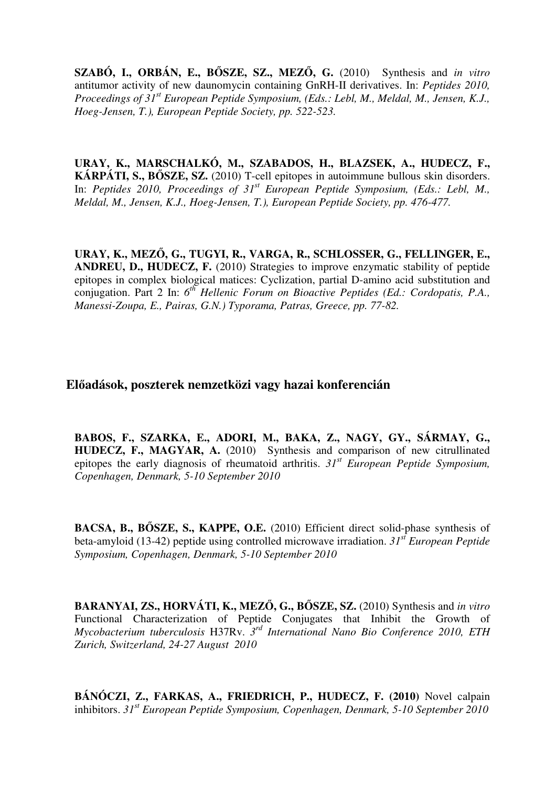**SZABÓ, I., ORBÁN, E., B**Ő**SZE, SZ., MEZ**Ő**, G.** (2010) Synthesis and *in vitro* antitumor activity of new daunomycin containing GnRH-II derivatives. In: *Peptides 2010, Proceedings of 31st European Peptide Symposium, (Eds.: Lebl, M., Meldal, M., Jensen, K.J., Hoeg-Jensen, T.), European Peptide Society, pp. 522-523.*

**URAY, K., MARSCHALKÓ, M., SZABADOS, H., BLAZSEK, A., HUDECZ, F., KÁRPÁTI, S., B**Ő**SZE, SZ.** (2010) T-cell epitopes in autoimmune bullous skin disorders. In: *Peptides 2010, Proceedings of 31<sup>st</sup> European Peptide Symposium, (Eds.: Lebl, M., Meldal, M., Jensen, K.J., Hoeg-Jensen, T.), European Peptide Society, pp. 476-477.*

**URAY, K., MEZ**Ő**, G., TUGYI, R., VARGA, R., SCHLOSSER, G., FELLINGER, E., ANDREU, D., HUDECZ, F.** (2010) Strategies to improve enzymatic stability of peptide epitopes in complex biological matices: Cyclization, partial D-amino acid substitution and conjugation. Part 2 In: 6<sup>th</sup> Hellenic Forum on Bioactive Peptides (Ed.: Cordopatis, P.A., *Manessi-Zoupa, E., Pairas, G.N.) Typorama, Patras, Greece, pp. 77-82.*

## **El**ő**adások, poszterek nemzetközi vagy hazai konferencián**

**BABOS, F., SZARKA, E., ADORI, M., BAKA, Z., NAGY, GY., SÁRMAY, G., HUDECZ, F., MAGYAR, A.** (2010) Synthesis and comparison of new citrullinated epitopes the early diagnosis of rheumatoid arthritis. *31st European Peptide Symposium, Copenhagen, Denmark, 5-10 September 2010*

**BACSA, B., B**Ő**SZE, S., KAPPE, O.E.** (2010) Efficient direct solid-phase synthesis of beta-amyloid (13-42) peptide using controlled microwave irradiation. *31st European Peptide Symposium, Copenhagen, Denmark, 5-10 September 2010*

**BARANYAI, ZS., HORVÁTI, K., MEZ**Ő**, G., B**Ő**SZE, SZ.** (2010) Synthesis and *in vitro*  Functional Characterization of Peptide Conjugates that Inhibit the Growth of *Mycobacterium tuberculosis* H37Rv. *3 rd International Nano Bio Conference 2010, ETH Zurich, Switzerland, 24-27 August 2010*

**BÁNÓCZI, Z., FARKAS, A., FRIEDRICH, P., HUDECZ, F. (2010)** Novel calpain inhibitors. *31st European Peptide Symposium, Copenhagen, Denmark, 5-10 September 2010*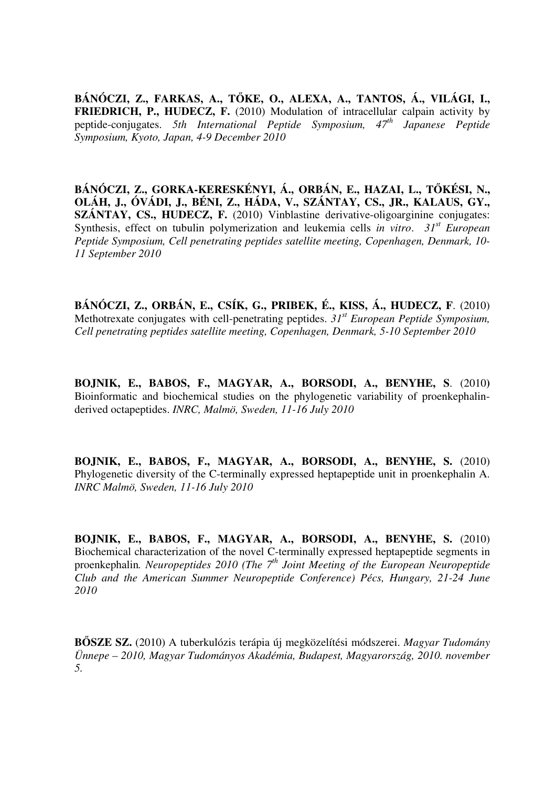**BÁNÓCZI, Z., FARKAS, A., T**Ő**KE, O., ALEXA, A., TANTOS, Á., VILÁGI, I., FRIEDRICH, P., HUDECZ, F.** (2010) Modulation of intracellular calpain activity by peptide-conjugates. *5th International Peptide Symposium, 47th Japanese Peptide Symposium, Kyoto, Japan, 4-9 December 2010*

**BÁNÓCZI, Z., GORKA-KERESKÉNYI, Á., ORBÁN, E., HAZAI, L., T**Ő**KÉSI, N., OLÁH, J., ÓVÁDI, J., BÉNI, Z., HÁDA, V., SZÁNTAY, CS., JR., KALAUS, GY., SZÁNTAY, CS., HUDECZ, F.** (2010) Vinblastine derivative-oligoarginine conjugates: Synthesis, effect on tubulin polymerization and leukemia cells *in vitro*. *31st European Peptide Symposium, Cell penetrating peptides satellite meeting, Copenhagen, Denmark, 10- 11 September 2010*

**BÁNÓCZI, Z., ORBÁN, E., CSÍK, G., PRIBEK, É., KISS, Á., HUDECZ, F**. (2010) Methotrexate conjugates with cell-penetrating peptides. *31st European Peptide Symposium, Cell penetrating peptides satellite meeting, Copenhagen, Denmark, 5-10 September 2010*

**BOJNIK, E., BABOS, F., MAGYAR, A., BORSODI, A., BENYHE, S**. (2010**)**  Bioinformatic and biochemical studies on the phylogenetic variability of proenkephalinderived octapeptides. *INRC, Malmö, Sweden, 11-16 July 2010* 

**BOJNIK, E., BABOS, F., MAGYAR, A., BORSODI, A., BENYHE, S.** (2010) Phylogenetic diversity of the C-terminally expressed heptapeptide unit in proenkephalin A. *INRC Malmö, Sweden, 11-16 July 2010* 

**BOJNIK, E., BABOS, F., MAGYAR, A., BORSODI, A., BENYHE, S.** (2010) Biochemical characterization of the novel C-terminally expressed heptapeptide segments in proenkephalin*. Neuropeptides 2010 (The 7th Joint Meeting of the European Neuropeptide Club and the American Summer Neuropeptide Conference) Pécs, Hungary, 21-24 June 2010* 

**B**Ő**SZE SZ.** (2010) A tuberkulózis terápia új megközelítési módszerei. *Magyar Tudomány Ünnepe – 2010, Magyar Tudományos Akadémia, Budapest, Magyarország, 2010. november 5.*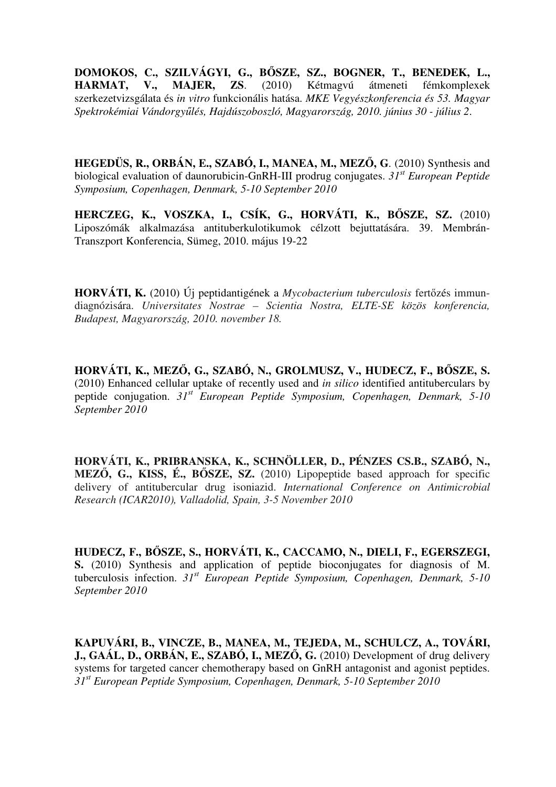**DOMOKOS, C., SZILVÁGYI, G., B**Ő**SZE, SZ., BOGNER, T., BENEDEK, L., HARMAT, V., MAJER, ZS**. (2010) Kétmagvú átmeneti fémkomplexek szerkezetvizsgálata és *in vitro* funkcionális hatása. *MKE Vegyészkonferencia és 53. Magyar Spektrokémiai Vándorgy*ű*lés, Hajdúszoboszló, Magyarország, 2010. június 30 - július 2*.

**HEGEDÜS, R., ORBÁN, E., SZABÓ, I., MANEA, M., MEZ**Ő**, G**. (2010) Synthesis and biological evaluation of daunorubicin-GnRH-III prodrug conjugates. *31st European Peptide Symposium, Copenhagen, Denmark, 5-10 September 2010*

**HERCZEG, K., VOSZKA, I., CSÍK, G., HORVÁTI, K., B**Ő**SZE, SZ.** (2010) Liposzómák alkalmazása antituberkulotikumok célzott bejuttatására. 39. Membrán-Transzport Konferencia, Sümeg, 2010. május 19-22

**HORVÁTI, K.** (2010) Új peptidantigének a *Mycobacterium tuberculosis* fertőzés immundiagnózisára. *Universitates Nostrae – Scientia Nostra, ELTE-SE közös konferencia, Budapest, Magyarország, 2010. november 18.*

**HORVÁTI, K., MEZ**Ő**, G., SZABÓ, N., GROLMUSZ, V., HUDECZ, F., B**Ő**SZE, S.**  (2010) Enhanced cellular uptake of recently used and *in silico* identified antituberculars by peptide conjugation. *31st European Peptide Symposium, Copenhagen, Denmark, 5-10 September 2010* 

**HORVÁTI, K., PRIBRANSKA, K., SCHNÖLLER, D., PÉNZES CS.B., SZABÓ, N., MEZ**Ő**, G., KISS, É., B**Ő**SZE, SZ.** (2010) Lipopeptide based approach for specific delivery of antitubercular drug isoniazid. *International Conference on Antimicrobial Research (ICAR2010), Valladolid, Spain, 3-5 November 2010*

**HUDECZ, F., B**Ő**SZE, S., HORVÁTI, K., CACCAMO, N., DIELI, F., EGERSZEGI, S.** (2010) Synthesis and application of peptide bioconjugates for diagnosis of M. tuberculosis infection. *31st European Peptide Symposium, Copenhagen, Denmark, 5-10 September 2010* 

**KAPUVÁRI, B., VINCZE, B., MANEA, M., TEJEDA, M., SCHULCZ, A., TOVÁRI, J., GAÁL, D., ORBÁN, E., SZABÓ, I., MEZ**Ő**, G.** (2010) Development of drug delivery systems for targeted cancer chemotherapy based on GnRH antagonist and agonist peptides. *31st European Peptide Symposium, Copenhagen, Denmark, 5-10 September 2010*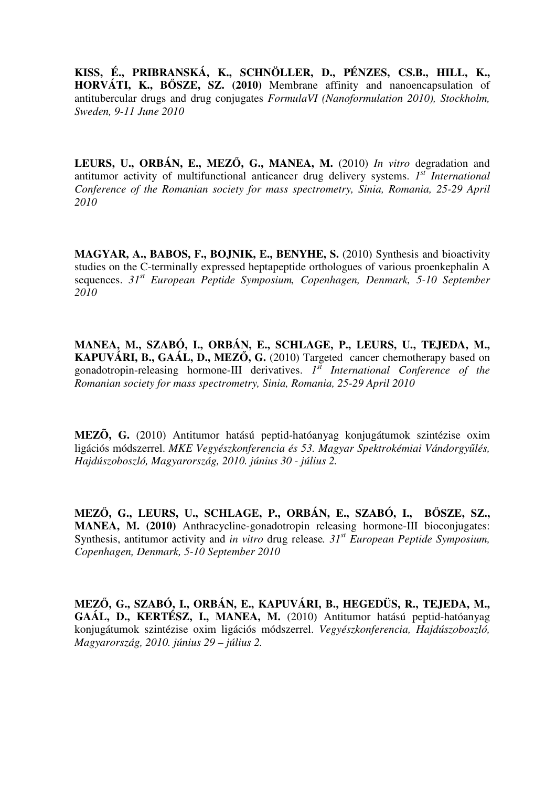**KISS, É., PRIBRANSKÁ, K., SCHNÖLLER, D., PÉNZES, CS.B., HILL, K., HORVÁTI, K., B**Ő**SZE, SZ. (2010)** Membrane affinity and nanoencapsulation of antitubercular drugs and drug conjugates *FormulaVI (Nanoformulation 2010), Stockholm, Sweden, 9-11 June 2010*

**LEURS, U., ORBÁN, E., MEZ**Ő**, G., MANEA, M.** (2010) *In vitro* degradation and antitumor activity of multifunctional anticancer drug delivery systems. *1 st International Conference of the Romanian society for mass spectrometry, Sinia, Romania, 25-29 April 2010*

MAGYAR, A., BABOS, F., BOJNIK, E., BENYHE, S. (2010) Synthesis and bioactivity studies on the C-terminally expressed heptapeptide orthologues of various proenkephalin A sequences. *31st European Peptide Symposium, Copenhagen, Denmark, 5-10 September 2010*

**MANEA, M., SZABÓ, I., ORBÁN, E., SCHLAGE, P., LEURS, U., TEJEDA, M., KAPUVÁRI, B., GAÁL, D., MEZ**Ő**, G.** (2010) Targeted cancer chemotherapy based on gonadotropin-releasing hormone-III derivatives. *I*<sup>st</sup> International Conference of the *Romanian society for mass spectrometry, Sinia, Romania, 25-29 April 2010*

**MEZÕ, G.** (2010) Antitumor hatású peptid-hatóanyag konjugátumok szintézise oxim ligációs módszerrel. *MKE Vegyészkonferencia és 53. Magyar Spektrokémiai Vándorgy*ű*lés, Hajdúszoboszló, Magyarország, 2010. június 30 - július 2.* 

**MEZ**Ő**, G., LEURS, U., SCHLAGE, P., ORBÁN, E., SZABÓ, I., B**Ő**SZE, SZ., MANEA, M. (2010)** Anthracycline-gonadotropin releasing hormone-III bioconjugates: Synthesis, antitumor activity and *in vitro* drug release*. 31st European Peptide Symposium, Copenhagen, Denmark, 5-10 September 2010* 

**MEZ**Ő**, G., SZABÓ, I., ORBÁN, E., KAPUVÁRI, B., HEGEDÜS, R., TEJEDA, M., GAÁL, D., KERTÉSZ, I., MANEA, M.** (2010) Antitumor hatású peptid-hatóanyag konjugátumok szintézise oxim ligációs módszerrel. *Vegyészkonferencia, Hajdúszoboszló, Magyarország, 2010. június 29 – július 2.*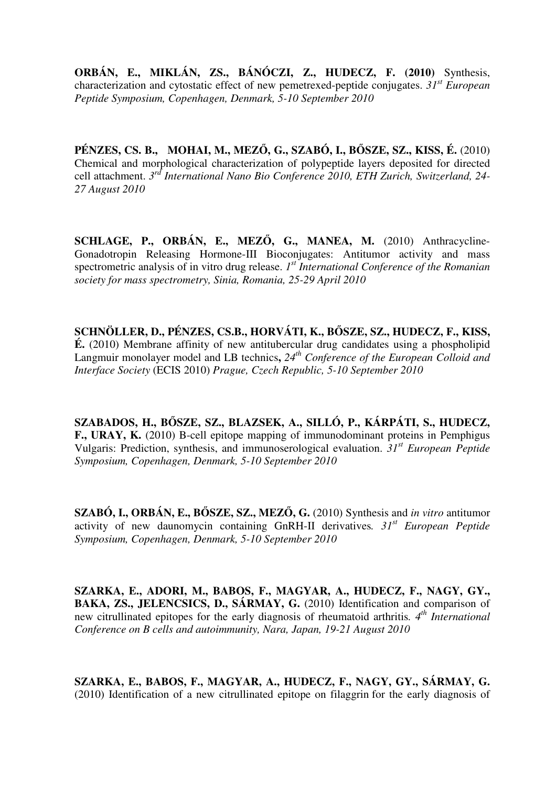**ORBÁN, E., MIKLÁN, ZS., BÁNÓCZI, Z., HUDECZ, F. (2010)** Synthesis, characterization and cytostatic effect of new pemetrexed-peptide conjugates. *31st European Peptide Symposium, Copenhagen, Denmark, 5-10 September 2010* 

**PÉNZES, CS. B., MOHAI, M., MEZ**Ő**, G., SZABÓ, I., B**Ő**SZE, SZ., KISS, É.** (2010) Chemical and morphological characterization of polypeptide layers deposited for directed cell attachment. *3 rd International Nano Bio Conference 2010, ETH Zurich, Switzerland, 24- 27 August 2010*

**SCHLAGE, P., ORBÁN, E., MEZ**Ő**, G., MANEA, M.** (2010) Anthracycline-Gonadotropin Releasing Hormone-III Bioconjugates: Antitumor activity and mass spectrometric analysis of in vitro drug release. *1 st International Conference of the Romanian society for mass spectrometry, Sinia, Romania, 25-29 April 2010*

**SCHNÖLLER, D., PÉNZES, CS.B., HORVÁTI, K., B**Ő**SZE, SZ., HUDECZ, F., KISS, É.** (2010) Membrane affinity of new antitubercular drug candidates using a phospholipid Langmuir monolayer model and LB technics**,** *24th Conference of the European Colloid and Interface Society* (ECIS 2010) *Prague, Czech Republic, 5-10 September 2010*

**SZABADOS, H., B**Ő**SZE, SZ., BLAZSEK, A., SILLÓ, P., KÁRPÁTI, S., HUDECZ, F., URAY, K.** (2010) B-cell epitope mapping of immunodominant proteins in Pemphigus Vulgaris: Prediction, synthesis, and immunoserological evaluation. *31st European Peptide Symposium, Copenhagen, Denmark, 5-10 September 2010*

**SZABÓ, I., ORBÁN, E., B**Ő**SZE, SZ., MEZ**Ő**, G.** (2010) Synthesis and *in vitro* antitumor activity of new daunomycin containing GnRH-II derivatives*. 31st European Peptide Symposium, Copenhagen, Denmark, 5-10 September 2010*

**SZARKA, E., ADORI, M., BABOS, F., MAGYAR, A., HUDECZ, F., NAGY, GY., BAKA, ZS., JELENCSICS, D., SÁRMAY, G.** (2010) Identification and comparison of new citrullinated epitopes for the early diagnosis of rheumatoid arthritis*. 4th International Conference on B cells and autoimmunity, Nara, Japan, 19-21 August 2010* 

**SZARKA, E., BABOS, F., MAGYAR, A., HUDECZ, F., NAGY, GY., SÁRMAY, G.**  (2010) Identification of a new citrullinated epitope on filaggrin for the early diagnosis of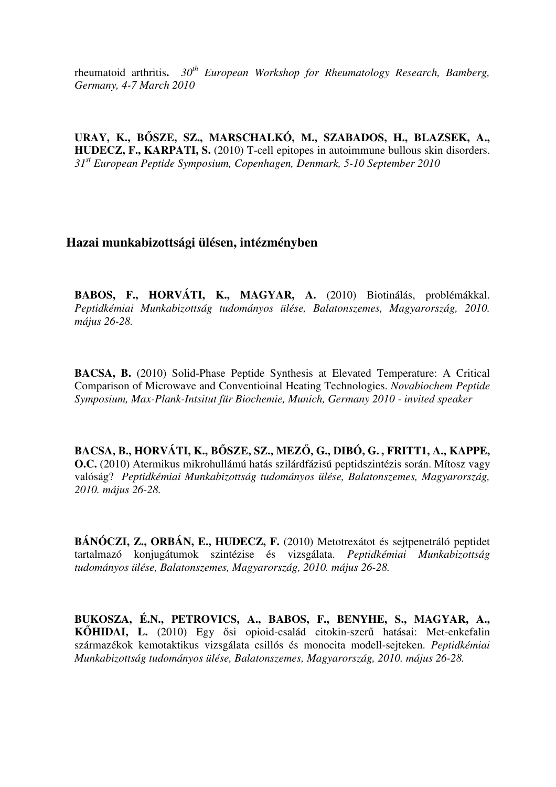rheumatoid arthritis**.** *30th European Workshop for Rheumatology Research, Bamberg, Germany, 4-7 March 2010* 

**URAY, K., B**Ő**SZE, SZ., MARSCHALKÓ, M., SZABADOS, H., BLAZSEK, A., HUDECZ, F., KARPATI, S.** (2010) T-cell epitopes in autoimmune bullous skin disorders. *31st European Peptide Symposium, Copenhagen, Denmark, 5-10 September 2010* 

## **Hazai munkabizottsági ülésen, intézményben**

**BABOS, F., HORVÁTI, K., MAGYAR, A.** (2010) Biotinálás, problémákkal. *Peptidkémiai Munkabizottság tudományos ülése, Balatonszemes, Magyarország, 2010. május 26-28.*

**BACSA, B.** (2010) Solid-Phase Peptide Synthesis at Elevated Temperature: A Critical Comparison of Microwave and Conventioinal Heating Technologies. *Novabiochem Peptide Symposium, Max-Plank-Intsitut für Biochemie, Munich, Germany 2010 - invited speaker*

**BACSA, B., HORVÁTI, K., B**Ő**SZE, SZ., MEZ**Ő**, G., DIBÓ, G. , FRITT1, A., KAPPE, O.C.** (2010) Atermikus mikrohullámú hatás szilárdfázisú peptidszintézis során. Mítosz vagy valóság? *Peptidkémiai Munkabizottság tudományos ülése, Balatonszemes, Magyarország, 2010. május 26-28.*

**BÁNÓCZI, Z., ORBÁN, E., HUDECZ, F.** (2010) Metotrexátot és sejtpenetráló peptidet tartalmazó konjugátumok szintézise és vizsgálata. *Peptidkémiai Munkabizottság tudományos ülése, Balatonszemes, Magyarország, 2010. május 26-28.*

**BUKOSZA, É.N., PETROVICS, A., BABOS, F., BENYHE, S., MAGYAR, A., K**Ő**HIDAI, L.** (2010) Egy ősi opioid-család citokin-szerű hatásai: Met-enkefalin származékok kemotaktikus vizsgálata csillós és monocita modell-sejteken. *Peptidkémiai Munkabizottság tudományos ülése, Balatonszemes, Magyarország, 2010. május 26-28.*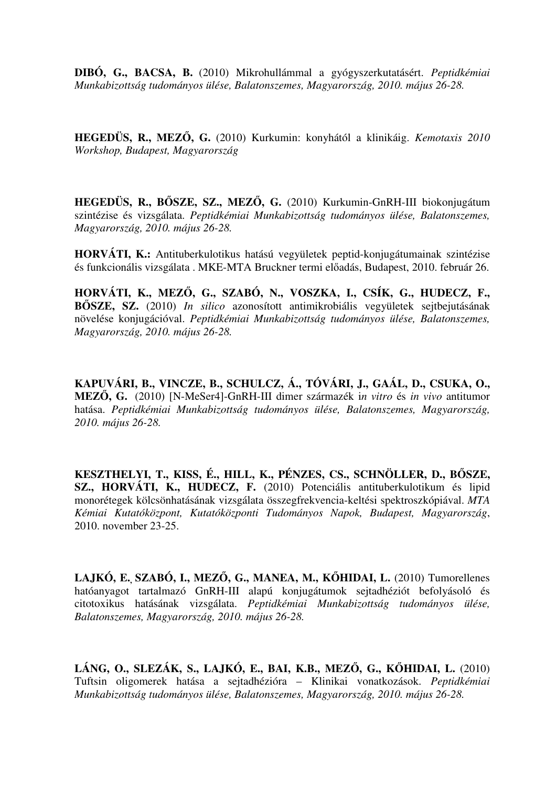**DIBÓ, G., BACSA, B.** (2010) Mikrohullámmal a gyógyszerkutatásért. *Peptidkémiai Munkabizottság tudományos ülése, Balatonszemes, Magyarország, 2010. május 26-28.*

**HEGEDÜS, R., MEZ**Ő**, G.** (2010) Kurkumin: konyhától a klinikáig. *Kemotaxis 2010 Workshop, Budapest, Magyarország*

**HEGEDÜS, R., B**Ő**SZE, SZ., MEZ**Ő**, G.** (2010) Kurkumin-GnRH-III biokonjugátum szintézise és vizsgálata. *Peptidkémiai Munkabizottság tudományos ülése, Balatonszemes, Magyarország, 2010. május 26-28.*

**HORVÁTI, K.:** Antituberkulotikus hatású vegyületek peptid-konjugátumainak szintézise és funkcionális vizsgálata . MKE-MTA Bruckner termi előadás, Budapest, 2010. február 26.

**HORVÁTI, K., MEZ**Ő**, G., SZABÓ, N., VOSZKA, I., CSÍK, G., HUDECZ, F., B**Ő**SZE, SZ.** (2010) *In silico* azonosított antimikrobiális vegyületek sejtbejutásának növelése konjugációval. *Peptidkémiai Munkabizottság tudományos ülése, Balatonszemes, Magyarország, 2010. május 26-28.*

**KAPUVÁRI, B., VINCZE, B., SCHULCZ, Á., TÓVÁRI, J., GAÁL, D., CSUKA, O., MEZ**Ő**, G.** (2010) [N-MeSer4]-GnRH-III dimer származék i*n vitro* és *in vivo* antitumor hatása. *Peptidkémiai Munkabizottság tudományos ülése, Balatonszemes, Magyarország, 2010. május 26-28.*

**KESZTHELYI, T., KISS, É., HILL, K., PÉNZES, CS., SCHNÖLLER, D., B**Ő**SZE, SZ., HORVÁTI, K., HUDECZ, F.** (2010) Potenciális antituberkulotikum és lipid monorétegek kölcsönhatásának vizsgálata összegfrekvencia-keltési spektroszkópiával. *MTA Kémiai Kutatóközpont, Kutatóközponti Tudományos Napok, Budapest, Magyarország*, 2010. november 23-25.

**LAJKÓ, E., SZABÓ, I., MEZ**Ő**, G., MANEA, M., K**Ő**HIDAI, L.** (2010) Tumorellenes hatóanyagot tartalmazó GnRH-III alapú konjugátumok sejtadhéziót befolyásoló és citotoxikus hatásának vizsgálata. *Peptidkémiai Munkabizottság tudományos ülése, Balatonszemes, Magyarország, 2010. május 26-28.*

**LÁNG, O., SLEZÁK, S., LAJKÓ, E., BAI, K.B., MEZ**Ő**, G., K**Ő**HIDAI, L.** (2010) Tuftsin oligomerek hatása a sejtadhézióra – Klinikai vonatkozások. *Peptidkémiai Munkabizottság tudományos ülése, Balatonszemes, Magyarország, 2010. május 26-28.*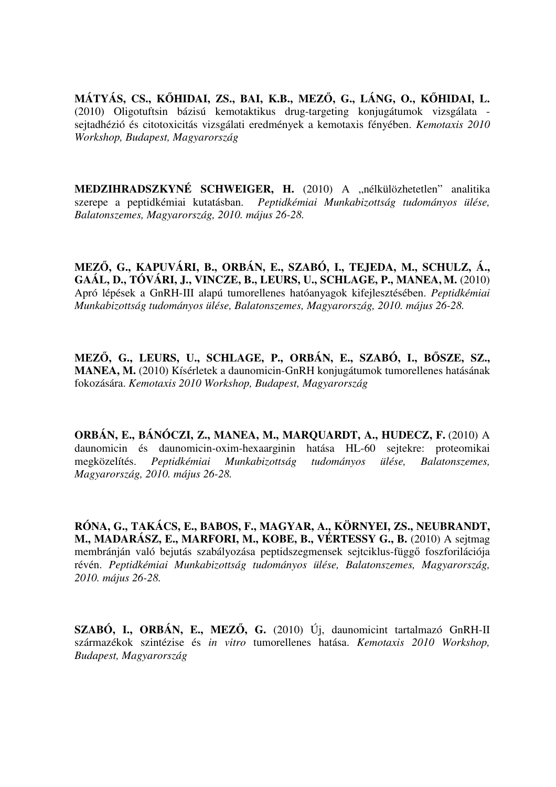**MÁTYÁS, CS., K**Ő**HIDAI, ZS., BAI, K.B., MEZ**Ő**, G., LÁNG, O., K**Ő**HIDAI, L.** (2010) Oligotuftsin bázisú kemotaktikus drug-targeting konjugátumok vizsgálata sejtadhézió és citotoxicitás vizsgálati eredmények a kemotaxis fényében. *Kemotaxis 2010 Workshop, Budapest, Magyarország*

**MEDZIHRADSZKYNÉ SCHWEIGER, H.** (2010) A "nélkülözhetetlen" analitika szerepe a peptidkémiai kutatásban. *Peptidkémiai Munkabizottság tudományos ülése, Balatonszemes, Magyarország, 2010. május 26-28.*

**MEZ**Ő**, G., KAPUVÁRI, B., ORBÁN, E., SZABÓ, I., TEJEDA, M., SCHULZ, Á., GAÁL, D., TÓVÁRI, J., VINCZE, B., LEURS, U., SCHLAGE, P., MANEA, M.** (2010) Apró lépések a GnRH-III alapú tumorellenes hatóanyagok kifejlesztésében. *Peptidkémiai Munkabizottság tudományos ülése, Balatonszemes, Magyarország, 2010. május 26-28.*

**MEZ**Ő**, G., LEURS, U., SCHLAGE, P., ORBÁN, E., SZABÓ, I., B**Ő**SZE, SZ., MANEA, M.** (2010) Kísérletek a daunomicin-GnRH konjugátumok tumorellenes hatásának fokozására. *Kemotaxis 2010 Workshop, Budapest, Magyarország*

**ORBÁN, E., BÁNÓCZI, Z., MANEA, M., MARQUARDT, A., HUDECZ, F.** (2010) A daunomicin és daunomicin-oxim-hexaarginin hatása HL-60 sejtekre: proteomikai megközelítés. *Peptidkémiai Munkabizottság tudományos ülése, Balatonszemes, Magyarország, 2010. május 26-28.*

**RÓNA, G., TAKÁCS, E., BABOS, F., MAGYAR, A., KÖRNYEI, ZS., NEUBRANDT, M., MADARÁSZ, E., MARFORI, M., KOBE, B., VÉRTESSY G., B.** (2010) A sejtmag membránján való bejutás szabályozása peptidszegmensek sejtciklus-függő foszforilációja révén. *Peptidkémiai Munkabizottság tudományos ülése, Balatonszemes, Magyarország, 2010. május 26-28.*

**SZABÓ, I., ORBÁN, E., MEZ**Ő**, G.** (2010) Új, daunomicint tartalmazó GnRH-II származékok szintézise és *in vitro* tumorellenes hatása. *Kemotaxis 2010 Workshop, Budapest, Magyarország*